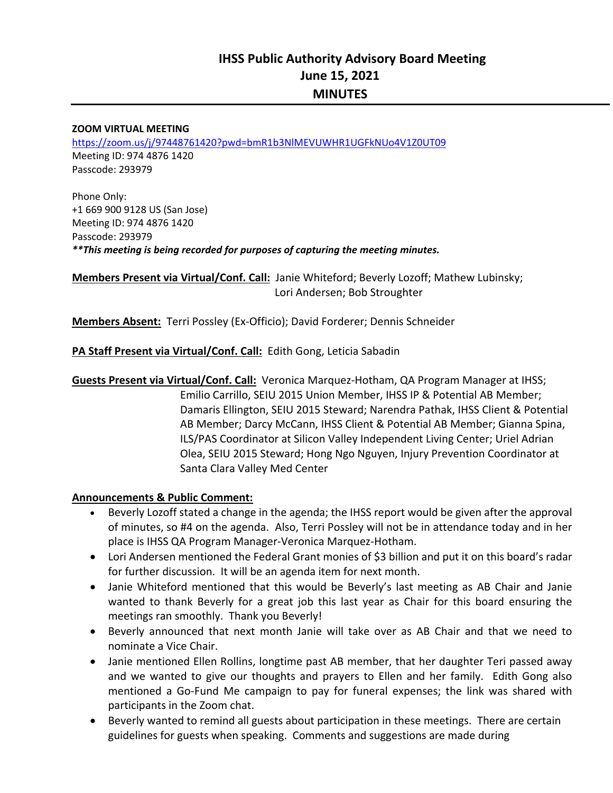#### **ZOOM VIRTUAL MEETING**

https://zoom.us/j/97448761420?pwd=bmR1b3NlMEVUWHR1UGFkNUo4V1Z0UT09 Meeting ID: 974 4876 1420 Passcode: 293979

Phone Only: +1 669 900 9128 US (San Jose) Meeting ID: 974 4876 1420 Passcode: 293979 *\*\*This meeting is being recorded for purposes of capturing the meeting minutes.* 

**Members Present via Virtual/Conf. Call:** Janie Whiteford; Beverly Lozoff; Mathew Lubinsky; Lori Andersen; Bob Stroughter

**Members Absent:** Terri Possley (Ex‐Officio); David Forderer; Dennis Schneider

### **PA Staff Present via Virtual/Conf. Call:** Edith Gong, Leticia Sabadin

**Guests Present via Virtual/Conf. Call:** Veronica Marquez‐Hotham, QA Program Manager at IHSS; Emilio Carrillo, SEIU 2015 Union Member, IHSS IP & Potential AB Member; Damaris Ellington, SEIU 2015 Steward; Narendra Pathak, IHSS Client & Potential AB Member; Darcy McCann, IHSS Client & Potential AB Member; Gianna Spina, ILS/PAS Coordinator at Silicon Valley Independent Living Center; Uriel Adrian Olea, SEIU 2015 Steward; Hong Ngo Nguyen, Injury Prevention Coordinator at Santa Clara Valley Med Center

#### **Announcements & Public Comment:**

- Beverly Lozoff stated a change in the agenda; the IHSS report would be given after the approval of minutes, so #4 on the agenda. Also, Terri Possley will not be in attendance today and in her place is IHSS QA Program Manager‐Veronica Marquez‐Hotham.
- Lori Andersen mentioned the Federal Grant monies of \$3 billion and put it on this board's radar for further discussion. It will be an agenda item for next month.
- Janie Whiteford mentioned that this would be Beverly's last meeting as AB Chair and Janie wanted to thank Beverly for a great job this last year as Chair for this board ensuring the meetings ran smoothly. Thank you Beverly!
- Beverly announced that next month Janie will take over as AB Chair and that we need to nominate a Vice Chair.
- Janie mentioned Ellen Rollins, longtime past AB member, that her daughter Teri passed away and we wanted to give our thoughts and prayers to Ellen and her family. Edith Gong also mentioned a Go-Fund Me campaign to pay for funeral expenses; the link was shared with participants in the Zoom chat.
- Beverly wanted to remind all guests about participation in these meetings. There are certain guidelines for guests when speaking. Comments and suggestions are made during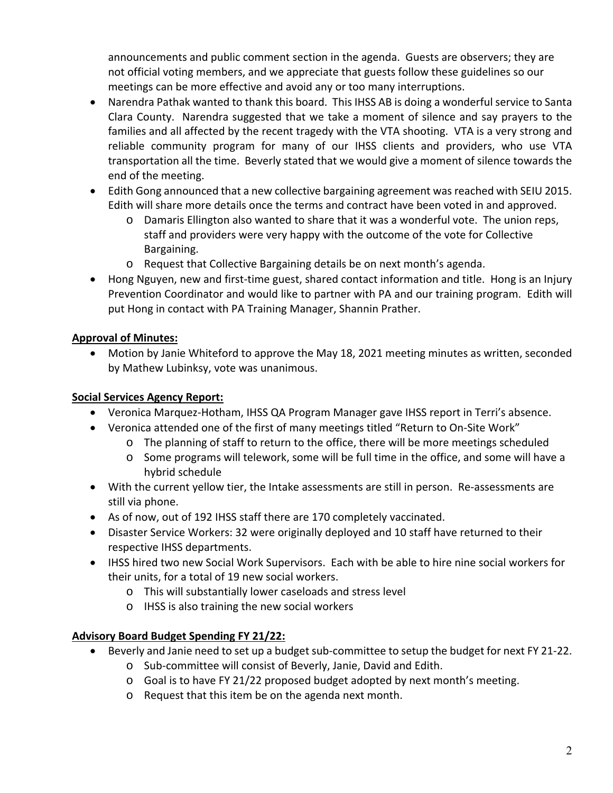announcements and public comment section in the agenda. Guests are observers; they are not official voting members, and we appreciate that guests follow these guidelines so our meetings can be more effective and avoid any or too many interruptions.

- Narendra Pathak wanted to thank this board. This IHSS AB is doing a wonderful service to Santa Clara County. Narendra suggested that we take a moment of silence and say prayers to the families and all affected by the recent tragedy with the VTA shooting. VTA is a very strong and reliable community program for many of our IHSS clients and providers, who use VTA transportation all the time. Beverly stated that we would give a moment of silence towards the end of the meeting.
- Edith Gong announced that a new collective bargaining agreement was reached with SEIU 2015. Edith will share more details once the terms and contract have been voted in and approved.
	- o Damaris Ellington also wanted to share that it was a wonderful vote. The union reps, staff and providers were very happy with the outcome of the vote for Collective Bargaining.
	- o Request that Collective Bargaining details be on next month's agenda.
- Hong Nguyen, new and first-time guest, shared contact information and title. Hong is an Injury Prevention Coordinator and would like to partner with PA and our training program. Edith will put Hong in contact with PA Training Manager, Shannin Prather.

# **Approval of Minutes:**

 Motion by Janie Whiteford to approve the May 18, 2021 meeting minutes as written, seconded by Mathew Lubinksy, vote was unanimous.

# **Social Services Agency Report:**

- Veronica Marquez-Hotham, IHSS QA Program Manager gave IHSS report in Terri's absence.
- Veronica attended one of the first of many meetings titled "Return to On‐Site Work"
	- $\circ$  The planning of staff to return to the office, there will be more meetings scheduled
	- o Some programs will telework, some will be full time in the office, and some will have a hybrid schedule
- With the current yellow tier, the Intake assessments are still in person. Re-assessments are still via phone.
- As of now, out of 192 IHSS staff there are 170 completely vaccinated.
- Disaster Service Workers: 32 were originally deployed and 10 staff have returned to their respective IHSS departments.
- IHSS hired two new Social Work Supervisors. Each with be able to hire nine social workers for their units, for a total of 19 new social workers.
	- o This will substantially lower caseloads and stress level
	- o IHSS is also training the new social workers

# **Advisory Board Budget Spending FY 21/22:**

- Beverly and Janie need to set up a budget sub-committee to setup the budget for next FY 21-22.
	- o Sub‐committee will consist of Beverly, Janie, David and Edith.
	- $\circ$  Goal is to have FY 21/22 proposed budget adopted by next month's meeting.
	- o Request that this item be on the agenda next month.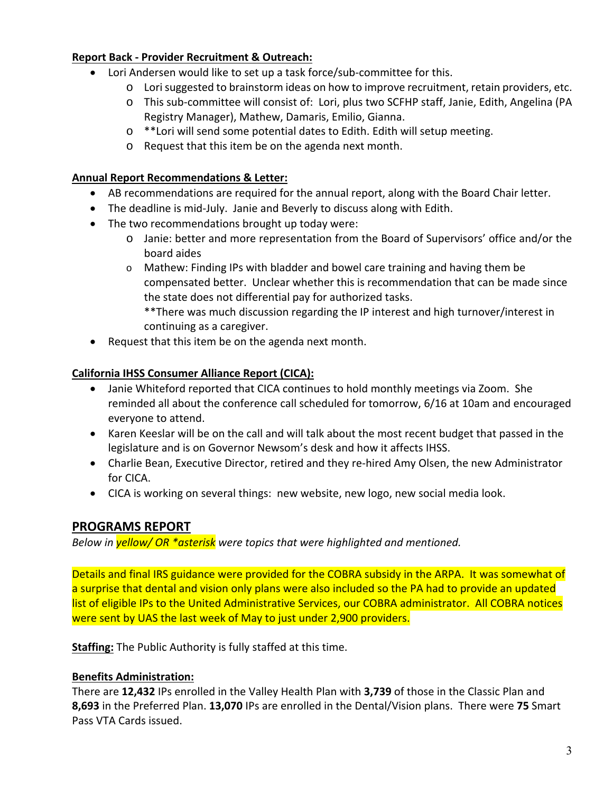### **Report Back ‐ Provider Recruitment & Outreach:**

- Lori Andersen would like to set up a task force/sub-committee for this.
	- o Lori suggested to brainstorm ideas on how to improve recruitment, retain providers, etc.
		- o This sub‐committee will consist of: Lori, plus two SCFHP staff, Janie, Edith, Angelina (PA Registry Manager), Mathew, Damaris, Emilio, Gianna.
		- o \*\*Lori will send some potential dates to Edith. Edith will setup meeting.
		- o Request that this item be on the agenda next month.

## **Annual Report Recommendations & Letter:**

- AB recommendations are required for the annual report, along with the Board Chair letter.
- The deadline is mid‐July. Janie and Beverly to discuss along with Edith.
- The two recommendations brought up today were:
	- o Janie: better and more representation from the Board of Supervisors' office and/or the board aides
	- o Mathew: Finding IPs with bladder and bowel care training and having them be compensated better. Unclear whether this is recommendation that can be made since the state does not differential pay for authorized tasks. \*\*There was much discussion regarding the IP interest and high turnover/interest in continuing as a caregiver.
- Request that this item be on the agenda next month.

# **California IHSS Consumer Alliance Report (CICA):**

- Janie Whiteford reported that CICA continues to hold monthly meetings via Zoom. She reminded all about the conference call scheduled for tomorrow, 6/16 at 10am and encouraged everyone to attend.
- Karen Keeslar will be on the call and will talk about the most recent budget that passed in the legislature and is on Governor Newsom's desk and how it affects IHSS.
- Charlie Bean, Executive Director, retired and they re-hired Amy Olsen, the new Administrator for CICA.
- CICA is working on several things: new website, new logo, new social media look.

# **PROGRAMS REPORT**

*Below in yellow/ OR \*asterisk were topics that were highlighted and mentioned.* 

Details and final IRS guidance were provided for the COBRA subsidy in the ARPA. It was somewhat of a surprise that dental and vision only plans were also included so the PA had to provide an updated list of eligible IPs to the United Administrative Services, our COBRA administrator. All COBRA notices were sent by UAS the last week of May to just under 2,900 providers.

**Staffing:** The Public Authority is fully staffed at this time.

# **Benefits Administration:**

There are **12,432** IPs enrolled in the Valley Health Plan with **3,739** of those in the Classic Plan and **8,693** in the Preferred Plan. **13,070** IPs are enrolled in the Dental/Vision plans. There were **75** Smart Pass VTA Cards issued.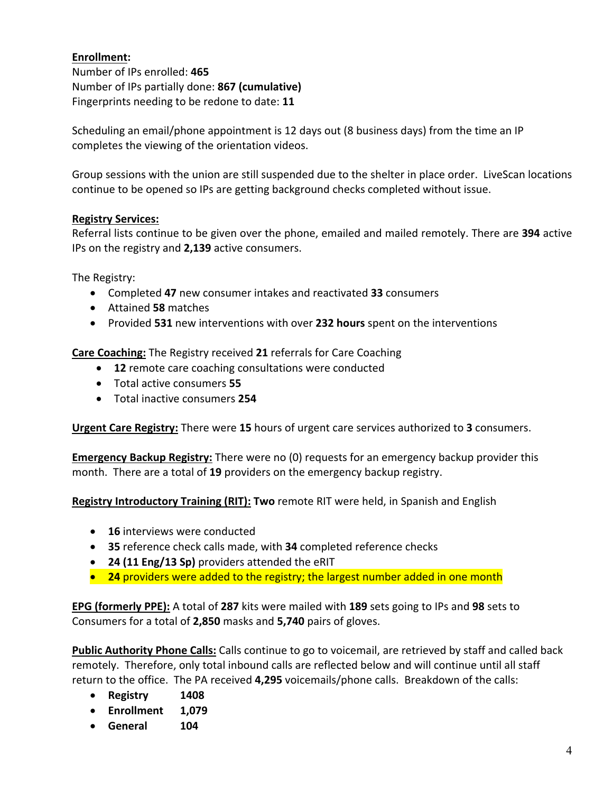# **Enrollment:**

Number of IPs enrolled: **465**  Number of IPs partially done: **867 (cumulative)** Fingerprints needing to be redone to date: **11** 

Scheduling an email/phone appointment is 12 days out (8 business days) from the time an IP completes the viewing of the orientation videos.

Group sessions with the union are still suspended due to the shelter in place order. LiveScan locations continue to be opened so IPs are getting background checks completed without issue.

### **Registry Services:**

Referral lists continue to be given over the phone, emailed and mailed remotely. There are **394** active IPs on the registry and **2,139** active consumers.

The Registry:

- Completed **47** new consumer intakes and reactivated **33** consumers
- Attained **58** matches
- Provided **531** new interventions with over **232 hours** spent on the interventions

**Care Coaching:** The Registry received **21** referrals for Care Coaching

- **12** remote care coaching consultations were conducted
- Total active consumers **55**
- Total inactive consumers **254**

**Urgent Care Registry:** There were **15** hours of urgent care services authorized to **3** consumers.

**Emergency Backup Registry:** There were no (0) requests for an emergency backup provider this month. There are a total of **19** providers on the emergency backup registry.

**Registry Introductory Training (RIT): Two** remote RIT were held, in Spanish and English

- **16** interviews were conducted
- **35** reference check calls made, with **34** completed reference checks
- **24 (11 Eng/13 Sp)** providers attended the eRIT
- **24** providers were added to the registry; the largest number added in one month

**EPG (formerly PPE):** A total of **287** kits were mailed with **189** sets going to IPs and **98** sets to Consumers for a total of **2,850** masks and **5,740** pairs of gloves.

**Public Authority Phone Calls:** Calls continue to go to voicemail, are retrieved by staff and called back remotely. Therefore, only total inbound calls are reflected below and will continue until all staff return to the office. The PA received **4,295** voicemails/phone calls. Breakdown of the calls:

- **Registry 1408**
- **Enrollment 1,079**
- **General 104**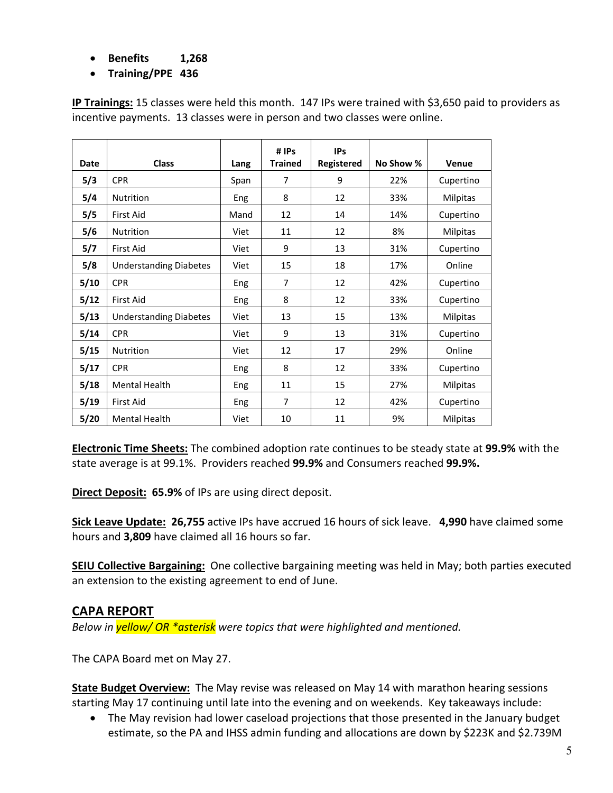- **Benefits 1,268**
- **Training/PPE 436**

|             |                               |      | # IPs          | <b>IPs</b> |           |                 |
|-------------|-------------------------------|------|----------------|------------|-----------|-----------------|
| <b>Date</b> | <b>Class</b>                  | Lang | <b>Trained</b> | Registered | No Show % | Venue           |
| 5/3         | <b>CPR</b>                    | Span | 7              | 9          | 22%       | Cupertino       |
| 5/4         | <b>Nutrition</b>              | Eng  | 8              | 12         | 33%       | <b>Milpitas</b> |
| 5/5         | <b>First Aid</b>              | Mand | 12             | 14         | 14%       | Cupertino       |
| 5/6         | Nutrition                     | Viet | 11             | 12         | 8%        | Milpitas        |
| 5/7         | <b>First Aid</b>              | Viet | 9              | 13         | 31%       | Cupertino       |
| 5/8         | <b>Understanding Diabetes</b> | Viet | 15             | 18         | 17%       | Online          |
| 5/10        | <b>CPR</b>                    | Eng  | 7              | 12         | 42%       | Cupertino       |
| 5/12        | <b>First Aid</b>              | Eng  | 8              | 12         | 33%       | Cupertino       |
| 5/13        | <b>Understanding Diabetes</b> | Viet | 13             | 15         | 13%       | <b>Milpitas</b> |
| 5/14        | <b>CPR</b>                    | Viet | 9              | 13         | 31%       | Cupertino       |
| 5/15        | <b>Nutrition</b>              | Viet | 12             | 17         | 29%       | Online          |
| 5/17        | <b>CPR</b>                    | Eng  | 8              | 12         | 33%       | Cupertino       |
| 5/18        | <b>Mental Health</b>          | Eng  | 11             | 15         | 27%       | Milpitas        |
| 5/19        | <b>First Aid</b>              | Eng  | $\overline{7}$ | 12         | 42%       | Cupertino       |
| 5/20        | <b>Mental Health</b>          | Viet | 10             | 11         | 9%        | Milpitas        |

**IP Trainings:** 15 classes were held this month. 147 IPs were trained with \$3,650 paid to providers as incentive payments. 13 classes were in person and two classes were online.

**Electronic Time Sheets:** The combined adoption rate continues to be steady state at **99.9%** with the state average is at 99.1%. Providers reached **99.9%** and Consumers reached **99.9%.**

**Direct Deposit: 65.9%** of IPs are using direct deposit.

**Sick Leave Update: 26,755** active IPs have accrued 16 hours of sick leave. **4,990** have claimed some hours and **3,809** have claimed all 16 hours so far.

**SEIU Collective Bargaining:** One collective bargaining meeting was held in May; both parties executed an extension to the existing agreement to end of June.

# **CAPA REPORT**

*Below in yellow/ OR \*asterisk were topics that were highlighted and mentioned.* 

The CAPA Board met on May 27.

**State Budget Overview:** The May revise was released on May 14 with marathon hearing sessions starting May 17 continuing until late into the evening and on weekends. Key takeaways include:

• The May revision had lower caseload projections that those presented in the January budget estimate, so the PA and IHSS admin funding and allocations are down by \$223K and \$2.739M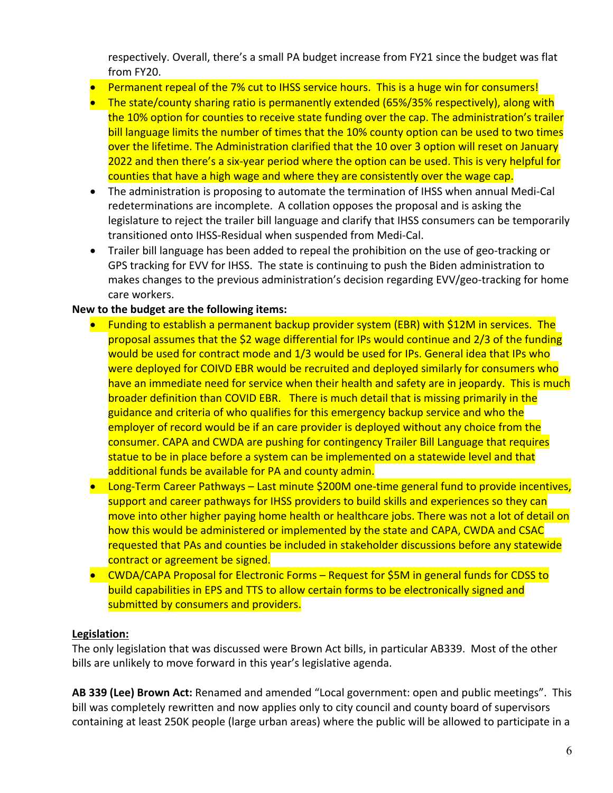respectively. Overall, there's a small PA budget increase from FY21 since the budget was flat from FY20.

- Permanent repeal of the 7% cut to IHSS service hours. This is a huge win for consumers!
- The state/county sharing ratio is permanently extended (65%/35% respectively), along with the 10% option for counties to receive state funding over the cap. The administration's trailer bill language limits the number of times that the 10% county option can be used to two times over the lifetime. The Administration clarified that the 10 over 3 option will reset on January 2022 and then there's a six‐year period where the option can be used. This is very helpful for counties that have a high wage and where they are consistently over the wage cap.
- The administration is proposing to automate the termination of IHSS when annual Medi-Cal redeterminations are incomplete. A collation opposes the proposal and is asking the legislature to reject the trailer bill language and clarify that IHSS consumers can be temporarily transitioned onto IHSS‐Residual when suspended from Medi‐Cal.
- Trailer bill language has been added to repeal the prohibition on the use of geo-tracking or GPS tracking for EVV for IHSS. The state is continuing to push the Biden administration to makes changes to the previous administration's decision regarding EVV/geo-tracking for home care workers.

### **New to the budget are the following items:**

- Funding to establish a permanent backup provider system (EBR) with \$12M in services. The proposal assumes that the \$2 wage differential for IPs would continue and 2/3 of the funding would be used for contract mode and 1/3 would be used for IPs. General idea that IPs who were deployed for COIVD EBR would be recruited and deployed similarly for consumers who have an immediate need for service when their health and safety are in jeopardy. This is much broader definition than COVID EBR. There is much detail that is missing primarily in the guidance and criteria of who qualifies for this emergency backup service and who the employer of record would be if an care provider is deployed without any choice from the consumer. CAPA and CWDA are pushing for contingency Trailer Bill Language that requires statue to be in place before a system can be implemented on a statewide level and that additional funds be available for PA and county admin.
- Long-Term Career Pathways Last minute \$200M one-time general fund to provide incentives, support and career pathways for IHSS providers to build skills and experiences so they can move into other higher paying home health or healthcare jobs. There was not a lot of detail on how this would be administered or implemented by the state and CAPA, CWDA and CSAC requested that PAs and counties be included in stakeholder discussions before any statewide contract or agreement be signed.
- CWDA/CAPA Proposal for Electronic Forms Request for \$5M in general funds for CDSS to build capabilities in EPS and TTS to allow certain forms to be electronically signed and submitted by consumers and providers.

### **Legislation:**

The only legislation that was discussed were Brown Act bills, in particular AB339. Most of the other bills are unlikely to move forward in this year's legislative agenda.

**AB 339 (Lee) Brown Act:** Renamed and amended "Local government: open and public meetings". This bill was completely rewritten and now applies only to city council and county board of supervisors containing at least 250K people (large urban areas) where the public will be allowed to participate in a